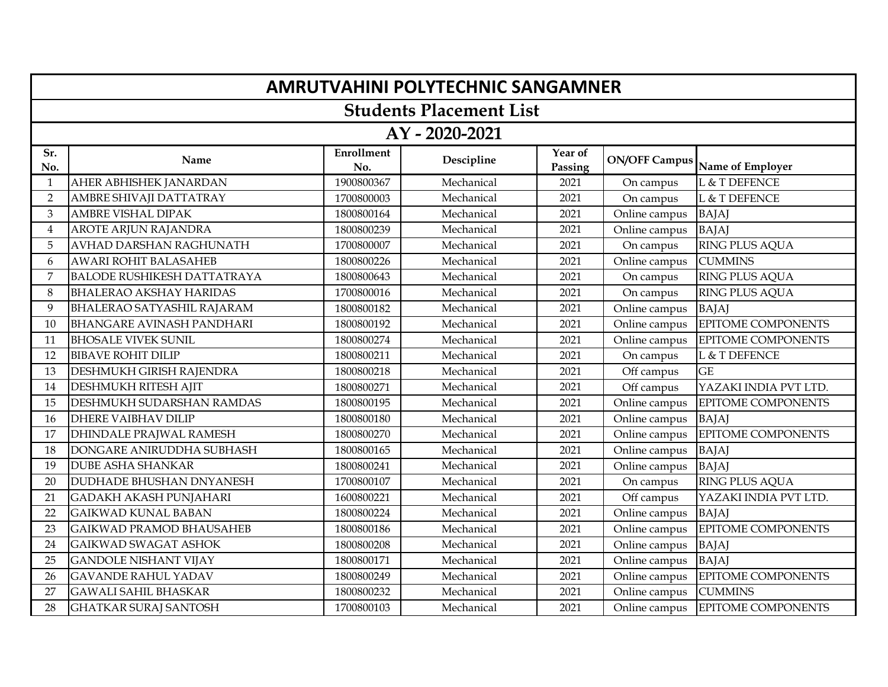|                | <b>AMRUTVAHINI POLYTECHNIC SANGAMNER</b> |                          |            |                    |                      |                           |  |  |  |
|----------------|------------------------------------------|--------------------------|------------|--------------------|----------------------|---------------------------|--|--|--|
|                | <b>Students Placement List</b>           |                          |            |                    |                      |                           |  |  |  |
|                | AY - 2020-2021                           |                          |            |                    |                      |                           |  |  |  |
| Sr.<br>No.     | Name                                     | <b>Enrollment</b><br>No. | Descipline | Year of<br>Passing | <b>ON/OFF Campus</b> | Name of Employer          |  |  |  |
| $\mathbf 1$    | AHER ABHISHEK JANARDAN                   | 1900800367               | Mechanical | 2021               | On campus            | L & T DEFENCE             |  |  |  |
| $\overline{2}$ | AMBRE SHIVAJI DATTATRAY                  | 1700800003               | Mechanical | 2021               | On campus            | L & T DEFENCE             |  |  |  |
| 3              | AMBRE VISHAL DIPAK                       | 1800800164               | Mechanical | 2021               | Online campus        | <b>BAJAJ</b>              |  |  |  |
| $\overline{4}$ | <b>AROTE ARJUN RAJANDRA</b>              | 1800800239               | Mechanical | 2021               | Online campus        | <b>BAJAJ</b>              |  |  |  |
| 5              | AVHAD DARSHAN RAGHUNATH                  | 1700800007               | Mechanical | 2021               | On campus            | RING PLUS AQUA            |  |  |  |
| 6              | <b>AWARI ROHIT BALASAHEB</b>             | 1800800226               | Mechanical | 2021               | Online campus        | <b>CUMMINS</b>            |  |  |  |
| 7              | <b>BALODE RUSHIKESH DATTATRAYA</b>       | 1800800643               | Mechanical | 2021               | On campus            | RING PLUS AQUA            |  |  |  |
| 8              | <b>BHALERAO AKSHAY HARIDAS</b>           | 1700800016               | Mechanical | 2021               | On campus            | RING PLUS AQUA            |  |  |  |
| 9              | BHALERAO SATYASHIL RAJARAM               | 1800800182               | Mechanical | 2021               | Online campus        | <b>BAJAJ</b>              |  |  |  |
| 10             | <b>BHANGARE AVINASH PANDHARI</b>         | 1800800192               | Mechanical | 2021               | Online campus        | EPITOME COMPONENTS        |  |  |  |
| 11             | <b>BHOSALE VIVEK SUNIL</b>               | 1800800274               | Mechanical | 2021               | Online campus        | EPITOME COMPONENTS        |  |  |  |
| 12             | <b>BIBAVE ROHIT DILIP</b>                | 1800800211               | Mechanical | 2021               | On campus            | L & T DEFENCE             |  |  |  |
| 13             | <b>DESHMUKH GIRISH RAJENDRA</b>          | 1800800218               | Mechanical | 2021               | Off campus           | <b>GE</b>                 |  |  |  |
| 14             | DESHMUKH RITESH AJIT                     | 1800800271               | Mechanical | 2021               | Off campus           | YAZAKI INDIA PVT LTD.     |  |  |  |
| 15             | DESHMUKH SUDARSHAN RAMDAS                | 1800800195               | Mechanical | 2021               | Online campus        | EPITOME COMPONENTS        |  |  |  |
| 16             | <b>DHERE VAIBHAV DILIP</b>               | 1800800180               | Mechanical | 2021               | Online campus        | <b>BAJAJ</b>              |  |  |  |
| 17             | DHINDALE PRAJWAL RAMESH                  | 1800800270               | Mechanical | 2021               | Online campus        | EPITOME COMPONENTS        |  |  |  |
| 18             | DONGARE ANIRUDDHA SUBHASH                | 1800800165               | Mechanical | 2021               | Online campus        | <b>BAJAJ</b>              |  |  |  |
| 19             | <b>DUBE ASHA SHANKAR</b>                 | 1800800241               | Mechanical | 2021               | Online campus        | <b>BAJAJ</b>              |  |  |  |
| 20             | <b>DUDHADE BHUSHAN DNYANESH</b>          | 1700800107               | Mechanical | 2021               | On campus            | <b>RING PLUS AQUA</b>     |  |  |  |
| 21             | <b>GADAKH AKASH PUNJAHARI</b>            | 1600800221               | Mechanical | 2021               | Off campus           | YAZAKI INDIA PVT LTD.     |  |  |  |
| 22             | <b>GAIKWAD KUNAL BABAN</b>               | 1800800224               | Mechanical | 2021               | Online campus        | <b>BAJAJ</b>              |  |  |  |
| 23             | <b>GAIKWAD PRAMOD BHAUSAHEB</b>          | 1800800186               | Mechanical | 2021               | Online campus        | EPITOME COMPONENTS        |  |  |  |
| 24             | <b>GAIKWAD SWAGAT ASHOK</b>              | 1800800208               | Mechanical | 2021               | Online campus        | <b>BAJAJ</b>              |  |  |  |
| 25             | <b>GANDOLE NISHANT VIJAY</b>             | 1800800171               | Mechanical | 2021               | Online campus        | <b>BAJAJ</b>              |  |  |  |
| 26             | <b>GAVANDE RAHUL YADAV</b>               | 1800800249               | Mechanical | 2021               | Online campus        | EPITOME COMPONENTS        |  |  |  |
| 27             | <b>GAWALI SAHIL BHASKAR</b>              | 1800800232               | Mechanical | 2021               | Online campus        | <b>CUMMINS</b>            |  |  |  |
| 28             | <b>GHATKAR SURAJ SANTOSH</b>             | 1700800103               | Mechanical | 2021               | Online campus        | <b>EPITOME COMPONENTS</b> |  |  |  |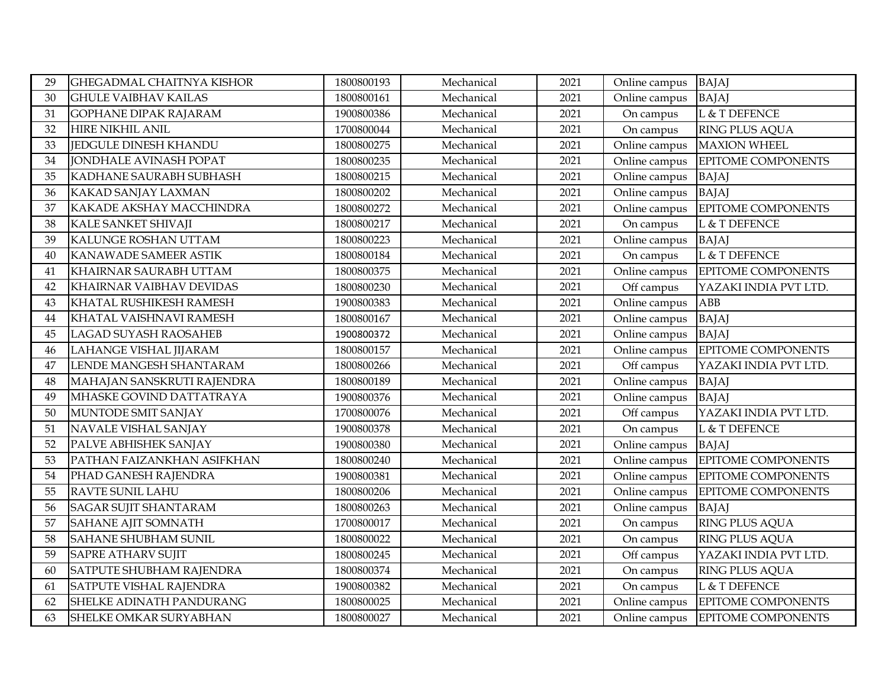| 29 | <b>GHEGADMAL CHAITNYA KISHOR</b> | 1800800193 | Mechanical | 2021 | Online campus | <b>BAJAJ</b>              |
|----|----------------------------------|------------|------------|------|---------------|---------------------------|
| 30 | <b>GHULE VAIBHAV KAILAS</b>      | 1800800161 | Mechanical | 2021 | Online campus | <b>BAJAJ</b>              |
| 31 | <b>GOPHANE DIPAK RAJARAM</b>     | 1900800386 | Mechanical | 2021 | On campus     | L & T DEFENCE             |
| 32 | <b>HIRE NIKHIL ANIL</b>          | 1700800044 | Mechanical | 2021 | On campus     | RING PLUS AQUA            |
| 33 | <b>JEDGULE DINESH KHANDU</b>     | 1800800275 | Mechanical | 2021 | Online campus | <b>MAXION WHEEL</b>       |
| 34 | <b>JONDHALE AVINASH POPAT</b>    | 1800800235 | Mechanical | 2021 | Online campus | EPITOME COMPONENTS        |
| 35 | KADHANE SAURABH SUBHASH          | 1800800215 | Mechanical | 2021 | Online campus | <b>BAJAJ</b>              |
| 36 | KAKAD SANJAY LAXMAN              | 1800800202 | Mechanical | 2021 | Online campus | <b>BAJAJ</b>              |
| 37 | KAKADE AKSHAY MACCHINDRA         | 1800800272 | Mechanical | 2021 | Online campus | EPITOME COMPONENTS        |
| 38 | KALE SANKET SHIVAJI              | 1800800217 | Mechanical | 2021 | On campus     | L & T DEFENCE             |
| 39 | KALUNGE ROSHAN UTTAM             | 1800800223 | Mechanical | 2021 | Online campus | <b>BAJAJ</b>              |
| 40 | KANAWADE SAMEER ASTIK            | 1800800184 | Mechanical | 2021 | On campus     | L & T DEFENCE             |
| 41 | KHAIRNAR SAURABH UTTAM           | 1800800375 | Mechanical | 2021 | Online campus | <b>EPITOME COMPONENTS</b> |
| 42 | KHAIRNAR VAIBHAV DEVIDAS         | 1800800230 | Mechanical | 2021 | Off campus    | YAZAKI INDIA PVT LTD.     |
| 43 | KHATAL RUSHIKESH RAMESH          | 1900800383 | Mechanical | 2021 | Online campus | <b>ABB</b>                |
| 44 | KHATAL VAISHNAVI RAMESH          | 1800800167 | Mechanical | 2021 | Online campus | <b>BAJAJ</b>              |
| 45 | LAGAD SUYASH RAOSAHEB            | 1900800372 | Mechanical | 2021 | Online campus | <b>BAJAJ</b>              |
| 46 | LAHANGE VISHAL JIJARAM           | 1800800157 | Mechanical | 2021 | Online campus | EPITOME COMPONENTS        |
| 47 | LENDE MANGESH SHANTARAM          | 1800800266 | Mechanical | 2021 | Off campus    | YAZAKI INDIA PVT LTD.     |
| 48 | MAHAJAN SANSKRUTI RAJENDRA       | 1800800189 | Mechanical | 2021 | Online campus | <b>BAJAJ</b>              |
| 49 | MHASKE GOVIND DATTATRAYA         | 1900800376 | Mechanical | 2021 | Online campus | <b>BAJAJ</b>              |
| 50 | MUNTODE SMIT SANJAY              | 1700800076 | Mechanical | 2021 | Off campus    | YAZAKI INDIA PVT LTD.     |
| 51 | NAVALE VISHAL SANJAY             | 1900800378 | Mechanical | 2021 | On campus     | L & T DEFENCE             |
| 52 | PALVE ABHISHEK SANJAY            | 1900800380 | Mechanical | 2021 | Online campus | <b>BAJAJ</b>              |
| 53 | PATHAN FAIZANKHAN ASIFKHAN       | 1800800240 | Mechanical | 2021 | Online campus | EPITOME COMPONENTS        |
| 54 | PHAD GANESH RAJENDRA             | 1900800381 | Mechanical | 2021 | Online campus | EPITOME COMPONENTS        |
| 55 | <b>RAVTE SUNIL LAHU</b>          | 1800800206 | Mechanical | 2021 | Online campus | EPITOME COMPONENTS        |
| 56 | <b>SAGAR SUJIT SHANTARAM</b>     | 1800800263 | Mechanical | 2021 | Online campus | <b>BAJAJ</b>              |
| 57 | SAHANE AJIT SOMNATH              | 1700800017 | Mechanical | 2021 | On campus     | RING PLUS AQUA            |
| 58 | SAHANE SHUBHAM SUNIL             | 1800800022 | Mechanical | 2021 | On campus     | RING PLUS AQUA            |
| 59 | <b>SAPRE ATHARV SUJIT</b>        | 1800800245 | Mechanical | 2021 | Off campus    | YAZAKI INDIA PVT LTD.     |
| 60 | SATPUTE SHUBHAM RAJENDRA         | 1800800374 | Mechanical | 2021 | On campus     | RING PLUS AQUA            |
| 61 | SATPUTE VISHAL RAJENDRA          | 1900800382 | Mechanical | 2021 | On campus     | L & T DEFENCE             |
| 62 | SHELKE ADINATH PANDURANG         | 1800800025 | Mechanical | 2021 | Online campus | <b>EPITOME COMPONENTS</b> |
| 63 | SHELKE OMKAR SURYABHAN           | 1800800027 | Mechanical | 2021 | Online campus | <b>EPITOME COMPONENTS</b> |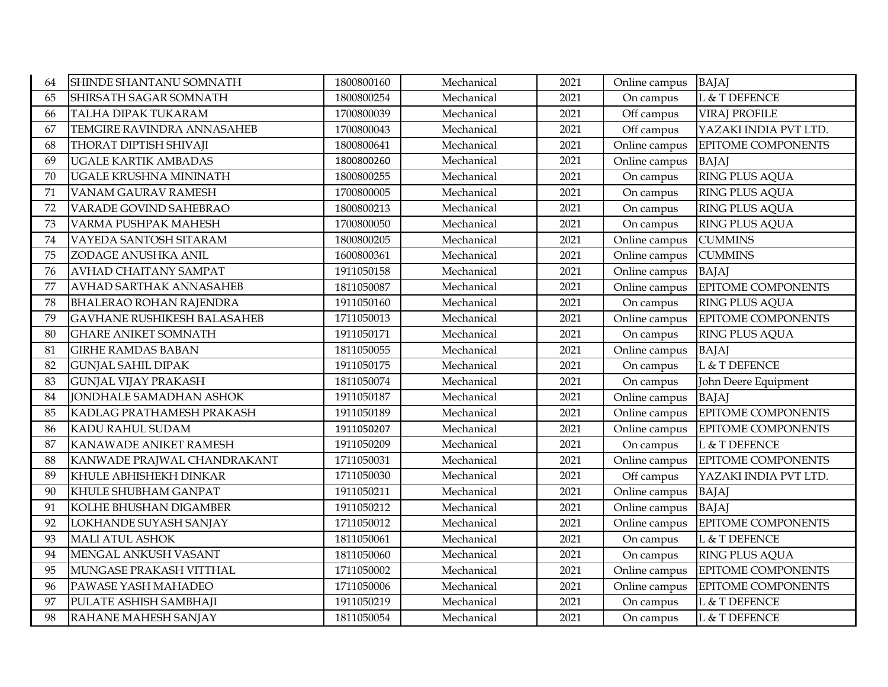| 64 | SHINDE SHANTANU SOMNATH            | 1800800160 | Mechanical | 2021 | Online campus | <b>BAJAJ</b>              |
|----|------------------------------------|------------|------------|------|---------------|---------------------------|
| 65 | SHIRSATH SAGAR SOMNATH             | 1800800254 | Mechanical | 2021 | On campus     | L & T DEFENCE             |
| 66 | TALHA DIPAK TUKARAM                | 1700800039 | Mechanical | 2021 | Off campus    | <b>VIRAJ PROFILE</b>      |
| 67 | TEMGIRE RAVINDRA ANNASAHEB         | 1700800043 | Mechanical | 2021 | Off campus    | YAZAKI INDIA PVT LTD.     |
| 68 | THORAT DIPTISH SHIVAJI             | 1800800641 | Mechanical | 2021 | Online campus | EPITOME COMPONENTS        |
| 69 | <b>UGALE KARTIK AMBADAS</b>        | 1800800260 | Mechanical | 2021 | Online campus | <b>BAJAJ</b>              |
| 70 | UGALE KRUSHNA MININATH             | 1800800255 | Mechanical | 2021 | On campus     | RING PLUS AQUA            |
| 71 | VANAM GAURAV RAMESH                | 1700800005 | Mechanical | 2021 | On campus     | RING PLUS AQUA            |
| 72 | VARADE GOVIND SAHEBRAO             | 1800800213 | Mechanical | 2021 | On campus     | RING PLUS AQUA            |
| 73 | VARMA PUSHPAK MAHESH               | 1700800050 | Mechanical | 2021 | On campus     | <b>RING PLUS AQUA</b>     |
| 74 | VAYEDA SANTOSH SITARAM             | 1800800205 | Mechanical | 2021 | Online campus | <b>CUMMINS</b>            |
| 75 | ZODAGE ANUSHKA ANIL                | 1600800361 | Mechanical | 2021 | Online campus | <b>CUMMINS</b>            |
| 76 | <b>AVHAD CHAITANY SAMPAT</b>       | 1911050158 | Mechanical | 2021 | Online campus | <b>BAJAJ</b>              |
| 77 | AVHAD SARTHAK ANNASAHEB            | 1811050087 | Mechanical | 2021 | Online campus | EPITOME COMPONENTS        |
| 78 | <b>BHALERAO ROHAN RAJENDRA</b>     | 1911050160 | Mechanical | 2021 | On campus     | <b>RING PLUS AQUA</b>     |
| 79 | <b>GAVHANE RUSHIKESH BALASAHEB</b> | 1711050013 | Mechanical | 2021 | Online campus | EPITOME COMPONENTS        |
| 80 | <b>GHARE ANIKET SOMNATH</b>        | 1911050171 | Mechanical | 2021 | On campus     | RING PLUS AQUA            |
| 81 | <b>GIRHE RAMDAS BABAN</b>          | 1811050055 | Mechanical | 2021 | Online campus | <b>BAJAJ</b>              |
| 82 | <b>GUNJAL SAHIL DIPAK</b>          | 1911050175 | Mechanical | 2021 | On campus     | L & T DEFENCE             |
| 83 | <b>GUNJAL VIJAY PRAKASH</b>        | 1811050074 | Mechanical | 2021 | On campus     | John Deere Equipment      |
| 84 | JONDHALE SAMADHAN ASHOK            | 1911050187 | Mechanical | 2021 | Online campus | <b>BAJAJ</b>              |
| 85 | KADLAG PRATHAMESH PRAKASH          | 1911050189 | Mechanical | 2021 | Online campus | EPITOME COMPONENTS        |
| 86 | KADU RAHUL SUDAM                   | 1911050207 | Mechanical | 2021 | Online campus | <b>EPITOME COMPONENTS</b> |
| 87 | KANAWADE ANIKET RAMESH             | 1911050209 | Mechanical | 2021 | On campus     | L & T DEFENCE             |
| 88 | KANWADE PRAJWAL CHANDRAKANT        | 1711050031 | Mechanical | 2021 | Online campus | <b>EPITOME COMPONENTS</b> |
| 89 | KHULE ABHISHEKH DINKAR             | 1711050030 | Mechanical | 2021 | Off campus    | YAZAKI INDIA PVT LTD.     |
| 90 | KHULE SHUBHAM GANPAT               | 1911050211 | Mechanical | 2021 | Online campus | <b>BAJAJ</b>              |
| 91 | KOLHE BHUSHAN DIGAMBER             | 1911050212 | Mechanical | 2021 | Online campus | <b>BAJAJ</b>              |
| 92 | LOKHANDE SUYASH SANJAY             | 1711050012 | Mechanical | 2021 | Online campus | <b>EPITOME COMPONENTS</b> |
| 93 | <b>MALI ATUL ASHOK</b>             | 1811050061 | Mechanical | 2021 | On campus     | L & T DEFENCE             |
| 94 | MENGAL ANKUSH VASANT               | 1811050060 | Mechanical | 2021 | On campus     | RING PLUS AQUA            |
| 95 | MUNGASE PRAKASH VITTHAL            | 1711050002 | Mechanical | 2021 | Online campus | EPITOME COMPONENTS        |
| 96 | PAWASE YASH MAHADEO                | 1711050006 | Mechanical | 2021 | Online campus | EPITOME COMPONENTS        |
| 97 | PULATE ASHISH SAMBHAJI             | 1911050219 | Mechanical | 2021 | On campus     | L & T DEFENCE             |
| 98 | RAHANE MAHESH SANJAY               | 1811050054 | Mechanical | 2021 | On campus     | L & T DEFENCE             |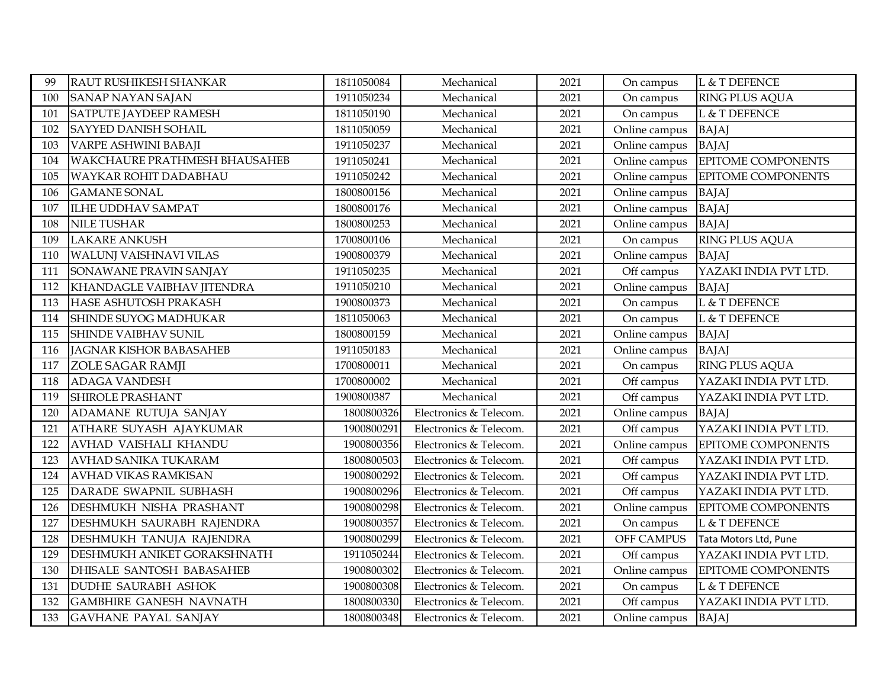| 99  | RAUT RUSHIKESH SHANKAR           | 1811050084 | Mechanical             | 2021 | On campus     | L & T DEFENCE         |
|-----|----------------------------------|------------|------------------------|------|---------------|-----------------------|
| 100 | <b>SANAP NAYAN SAJAN</b>         | 1911050234 | Mechanical             | 2021 | On campus     | <b>RING PLUS AQUA</b> |
| 101 | SATPUTE JAYDEEP RAMESH           | 1811050190 | Mechanical             | 2021 | On campus     | L & T DEFENCE         |
| 102 | SAYYED DANISH SOHAIL             | 1811050059 | Mechanical             | 2021 | Online campus | <b>BAJAJ</b>          |
| 103 | VARPE ASHWINI BABAJI             | 1911050237 | Mechanical             | 2021 | Online campus | <b>BAJAJ</b>          |
| 104 | WAKCHAURE PRATHMESH BHAUSAHEB    | 1911050241 | Mechanical             | 2021 | Online campus | EPITOME COMPONENTS    |
| 105 | WAYKAR ROHIT DADABHAU            | 1911050242 | Mechanical             | 2021 | Online campus | EPITOME COMPONENTS    |
| 106 | <b>GAMANE SONAL</b>              | 1800800156 | Mechanical             | 2021 | Online campus | <b>BAJAJ</b>          |
| 107 | <b>ILHE UDDHAV SAMPAT</b>        | 1800800176 | Mechanical             | 2021 | Online campus | <b>BAJAJ</b>          |
| 108 | <b>NILE TUSHAR</b>               | 1800800253 | Mechanical             | 2021 | Online campus | <b>BAJAJ</b>          |
| 109 | <b>LAKARE ANKUSH</b>             | 1700800106 | Mechanical             | 2021 | On campus     | RING PLUS AQUA        |
| 110 | WALUNJ VAISHNAVI VILAS           | 1900800379 | Mechanical             | 2021 | Online campus | <b>BAJAJ</b>          |
| 111 | SONAWANE PRAVIN SANJAY           | 1911050235 | Mechanical             | 2021 | Off campus    | YAZAKI INDIA PVT LTD. |
| 112 | KHANDAGLE VAIBHAV JITENDRA       | 1911050210 | Mechanical             | 2021 | Online campus | <b>BAJAJ</b>          |
| 113 | HASE ASHUTOSH PRAKASH            | 1900800373 | Mechanical             | 2021 | On campus     | L & T DEFENCE         |
| 114 | SHINDE SUYOG MADHUKAR            | 1811050063 | Mechanical             | 2021 | On campus     | L & T DEFENCE         |
| 115 | SHINDE VAIBHAV SUNIL             | 1800800159 | Mechanical             | 2021 | Online campus | <b>BAJAJ</b>          |
| 116 | JAGNAR KISHOR BABASAHEB          | 1911050183 | Mechanical             | 2021 | Online campus | <b>BAJAJ</b>          |
| 117 | ZOLE SAGAR RAMJI                 | 1700800011 | Mechanical             | 2021 | On campus     | RING PLUS AQUA        |
| 118 | <b>ADAGA VANDESH</b>             | 1700800002 | Mechanical             | 2021 | Off campus    | YAZAKI INDIA PVT LTD. |
| 119 | SHIROLE PRASHANT                 | 1900800387 | Mechanical             | 2021 | Off campus    | YAZAKI INDIA PVT LTD. |
| 120 | ADAMANE RUTUJA SANJAY            | 1800800326 | Electronics & Telecom. | 2021 | Online campus | <b>BAJAJ</b>          |
| 121 | ATHARE SUYASH AJAYKUMAR          | 1900800291 | Electronics & Telecom. | 2021 | Off campus    | YAZAKI INDIA PVT LTD. |
| 122 | AVHAD VAISHALI KHANDU            | 1900800356 | Electronics & Telecom. | 2021 | Online campus | EPITOME COMPONENTS    |
| 123 | AVHAD SANIKA TUKARAM             | 1800800503 | Electronics & Telecom. | 2021 | Off campus    | YAZAKI INDIA PVT LTD. |
| 124 | AVHAD VIKAS RAMKISAN             | 1900800292 | Electronics & Telecom. | 2021 | Off campus    | YAZAKI INDIA PVT LTD. |
| 125 | DARADE SWAPNIL SUBHASH           | 1900800296 | Electronics & Telecom. | 2021 | Off campus    | YAZAKI INDIA PVT LTD. |
| 126 | DESHMUKH NISHA PRASHANT          | 1900800298 | Electronics & Telecom. | 2021 | Online campus | EPITOME COMPONENTS    |
| 127 | DESHMUKH SAURABH RAJENDRA        | 1900800357 | Electronics & Telecom. | 2021 | On campus     | L & T DEFENCE         |
| 128 | DESHMUKH TANUJA RAJENDRA         | 1900800299 | Electronics & Telecom. | 2021 | OFF CAMPUS    | Tata Motors Ltd, Pune |
| 129 | DESHMUKH ANIKET GORAKSHNATH      | 1911050244 | Electronics & Telecom. | 2021 | Off campus    | YAZAKI INDIA PVT LTD. |
| 130 | <b>DHISALE SANTOSH BABASAHEB</b> | 1900800302 | Electronics & Telecom. | 2021 | Online campus | EPITOME COMPONENTS    |
| 131 | <b>DUDHE SAURABH ASHOK</b>       | 1900800308 | Electronics & Telecom. | 2021 | On campus     | L & T DEFENCE         |
| 132 | <b>GAMBHIRE GANESH NAVNATH</b>   | 1800800330 | Electronics & Telecom. | 2021 | Off campus    | YAZAKI INDIA PVT LTD. |
| 133 | <b>GAVHANE PAYAL SANJAY</b>      | 1800800348 | Electronics & Telecom. | 2021 | Online campus | <b>BAJAJ</b>          |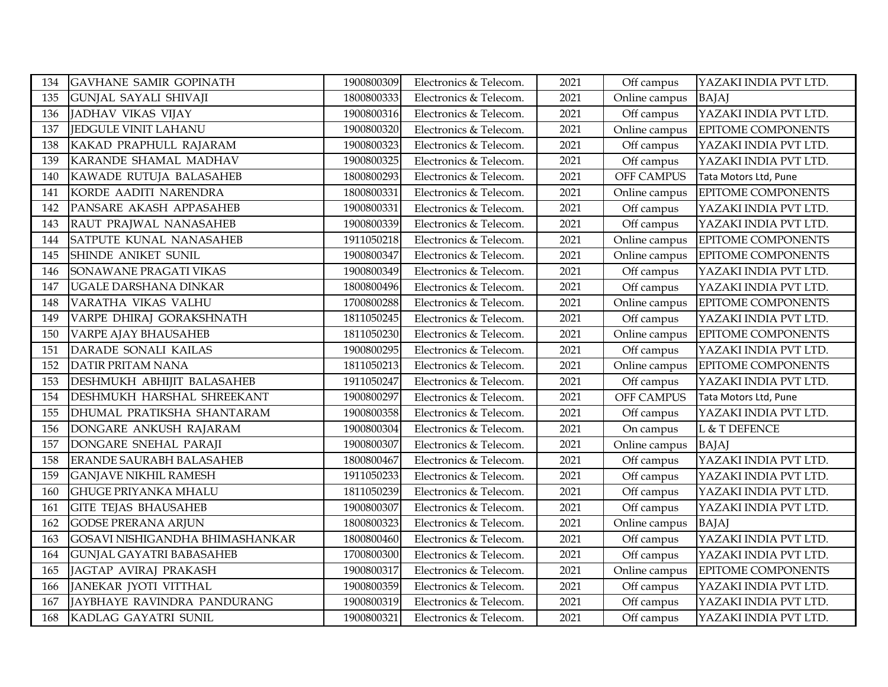| 134 | <b>GAVHANE SAMIR GOPINATH</b>   | 1900800309 | Electronics & Telecom. | 2021 | Off campus    | YAZAKI INDIA PVT LTD.     |
|-----|---------------------------------|------------|------------------------|------|---------------|---------------------------|
| 135 | <b>GUNJAL SAYALI SHIVAJI</b>    | 1800800333 | Electronics & Telecom. | 2021 | Online campus | <b>BAJAJ</b>              |
| 136 | JADHAV VIKAS VIJAY              | 1900800316 | Electronics & Telecom. | 2021 | Off campus    | YAZAKI INDIA PVT LTD.     |
| 137 | <b>JEDGULE VINIT LAHANU</b>     | 1900800320 | Electronics & Telecom. | 2021 | Online campus | EPITOME COMPONENTS        |
| 138 | KAKAD PRAPHULL RAJARAM          | 1900800323 | Electronics & Telecom. | 2021 | Off campus    | YAZAKI INDIA PVT LTD.     |
| 139 | KARANDE SHAMAL MADHAV           | 1900800325 | Electronics & Telecom. | 2021 | Off campus    | YAZAKI INDIA PVT LTD.     |
| 140 | KAWADE RUTUJA BALASAHEB         | 1800800293 | Electronics & Telecom. | 2021 | OFF CAMPUS    | Tata Motors Ltd, Pune     |
| 141 | KORDE AADITI NARENDRA           | 1800800331 | Electronics & Telecom. | 2021 | Online campus | EPITOME COMPONENTS        |
| 142 | PANSARE AKASH APPASAHEB         | 1900800331 | Electronics & Telecom. | 2021 | Off campus    | YAZAKI INDIA PVT LTD.     |
| 143 | RAUT PRAJWAL NANASAHEB          | 1900800339 | Electronics & Telecom. | 2021 | Off campus    | YAZAKI INDIA PVT LTD.     |
| 144 | SATPUTE KUNAL NANASAHEB         | 1911050218 | Electronics & Telecom. | 2021 | Online campus | EPITOME COMPONENTS        |
| 145 | SHINDE ANIKET SUNIL             | 1900800347 | Electronics & Telecom. | 2021 | Online campus | EPITOME COMPONENTS        |
| 146 | SONAWANE PRAGATI VIKAS          | 1900800349 | Electronics & Telecom. | 2021 | Off campus    | YAZAKI INDIA PVT LTD.     |
| 147 | UGALE DARSHANA DINKAR           | 1800800496 | Electronics & Telecom. | 2021 | Off campus    | YAZAKI INDIA PVT LTD.     |
| 148 | VARATHA VIKAS VALHU             | 1700800288 | Electronics & Telecom. | 2021 | Online campus | <b>EPITOME COMPONENTS</b> |
| 149 | VARPE DHIRAJ GORAKSHNATH        | 1811050245 | Electronics & Telecom. | 2021 | Off campus    | YAZAKI INDIA PVT LTD.     |
| 150 | VARPE AJAY BHAUSAHEB            | 1811050230 | Electronics & Telecom. | 2021 | Online campus | EPITOME COMPONENTS        |
| 151 | DARADE SONALI KAILAS            | 1900800295 | Electronics & Telecom. | 2021 | Off campus    | YAZAKI INDIA PVT LTD.     |
| 152 | <b>DATIR PRITAM NANA</b>        | 1811050213 | Electronics & Telecom. | 2021 | Online campus | EPITOME COMPONENTS        |
| 153 | DESHMUKH ABHIJIT BALASAHEB      | 1911050247 | Electronics & Telecom. | 2021 | Off campus    | YAZAKI INDIA PVT LTD.     |
| 154 | DESHMUKH HARSHAL SHREEKANT      | 1900800297 | Electronics & Telecom. | 2021 | OFF CAMPUS    | Tata Motors Ltd, Pune     |
| 155 | DHUMAL PRATIKSHA SHANTARAM      | 1900800358 | Electronics & Telecom. | 2021 | Off campus    | YAZAKI INDIA PVT LTD.     |
| 156 | DONGARE ANKUSH RAJARAM          | 1900800304 | Electronics & Telecom. | 2021 | On campus     | L & T DEFENCE             |
| 157 | DONGARE SNEHAL PARAJI           | 1900800307 | Electronics & Telecom. | 2021 | Online campus | <b>BAJAJ</b>              |
| 158 | ERANDE SAURABH BALASAHEB        | 1800800467 | Electronics & Telecom. | 2021 | Off campus    | YAZAKI INDIA PVT LTD.     |
| 159 | <b>GANJAVE NIKHIL RAMESH</b>    | 1911050233 | Electronics & Telecom. | 2021 | Off campus    | YAZAKI INDIA PVT LTD.     |
| 160 | <b>GHUGE PRIYANKA MHALU</b>     | 1811050239 | Electronics & Telecom. | 2021 | Off campus    | YAZAKI INDIA PVT LTD.     |
| 161 | <b>GITE TEJAS BHAUSAHEB</b>     | 1900800307 | Electronics & Telecom. | 2021 | Off campus    | YAZAKI INDIA PVT LTD.     |
| 162 | <b>GODSE PRERANA ARJUN</b>      | 1800800323 | Electronics & Telecom. | 2021 | Online campus | <b>BAJAJ</b>              |
| 163 | GOSAVI NISHIGANDHA BHIMASHANKAR | 1800800460 | Electronics & Telecom. | 2021 | Off campus    | YAZAKI INDIA PVT LTD.     |
| 164 | <b>GUNJAL GAYATRI BABASAHEB</b> | 1700800300 | Electronics & Telecom. | 2021 | Off campus    | YAZAKI INDIA PVT LTD.     |
| 165 | JAGTAP AVIRAJ PRAKASH           | 1900800317 | Electronics & Telecom. | 2021 | Online campus | EPITOME COMPONENTS        |
| 166 | JANEKAR JYOTI VITTHAL           | 1900800359 | Electronics & Telecom. | 2021 | Off campus    | YAZAKI INDIA PVT LTD.     |
| 167 | JAYBHAYE RAVINDRA PANDURANG     | 1900800319 | Electronics & Telecom. | 2021 | Off campus    | YAZAKI INDIA PVT LTD.     |
| 168 | KADLAG GAYATRI SUNIL            | 1900800321 | Electronics & Telecom. | 2021 | Off campus    | YAZAKI INDIA PVT LTD.     |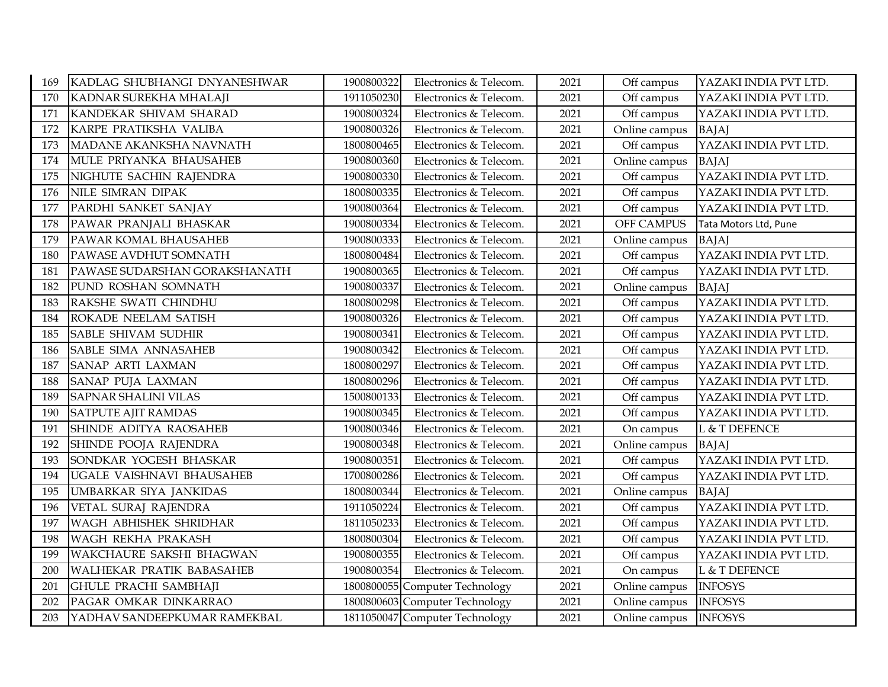| 169 | KADLAG SHUBHANGI DNYANESHWAR  | 1900800322 | Electronics & Telecom.         | 2021 | Off campus    | YAZAKI INDIA PVT LTD. |
|-----|-------------------------------|------------|--------------------------------|------|---------------|-----------------------|
| 170 | KADNAR SUREKHA MHALAJI        | 1911050230 | Electronics & Telecom.         | 2021 | Off campus    | YAZAKI INDIA PVT LTD. |
| 171 | KANDEKAR SHIVAM SHARAD        | 1900800324 | Electronics & Telecom.         | 2021 | Off campus    | YAZAKI INDIA PVT LTD. |
| 172 | KARPE PRATIKSHA VALIBA        | 1900800326 | Electronics & Telecom.         | 2021 | Online campus | <b>BAJAJ</b>          |
| 173 | MADANE AKANKSHA NAVNATH       | 1800800465 | Electronics & Telecom.         | 2021 | Off campus    | YAZAKI INDIA PVT LTD. |
| 174 | MULE PRIYANKA BHAUSAHEB       | 1900800360 | Electronics & Telecom.         | 2021 | Online campus | <b>BAJAJ</b>          |
| 175 | NIGHUTE SACHIN RAJENDRA       | 1900800330 | Electronics & Telecom.         | 2021 | Off campus    | YAZAKI INDIA PVT LTD. |
| 176 | NILE SIMRAN DIPAK             | 1800800335 | Electronics & Telecom.         | 2021 | Off campus    | YAZAKI INDIA PVT LTD. |
| 177 | PARDHI SANKET SANJAY          | 1900800364 | Electronics & Telecom.         | 2021 | Off campus    | YAZAKI INDIA PVT LTD. |
| 178 | PAWAR PRANJALI BHASKAR        | 1900800334 | Electronics & Telecom.         | 2021 | OFF CAMPUS    | Tata Motors Ltd, Pune |
| 179 | PAWAR KOMAL BHAUSAHEB         | 1900800333 | Electronics & Telecom.         | 2021 | Online campus | <b>BAJAJ</b>          |
| 180 | PAWASE AVDHUT SOMNATH         | 1800800484 | Electronics & Telecom.         | 2021 | Off campus    | YAZAKI INDIA PVT LTD. |
| 181 | PAWASE SUDARSHAN GORAKSHANATH | 1900800365 | Electronics & Telecom.         | 2021 | Off campus    | YAZAKI INDIA PVT LTD. |
| 182 | PUND ROSHAN SOMNATH           | 1900800337 | Electronics & Telecom.         | 2021 | Online campus | <b>BAJAJ</b>          |
| 183 | RAKSHE SWATI CHINDHU          | 1800800298 | Electronics & Telecom.         | 2021 | Off campus    | YAZAKI INDIA PVT LTD. |
| 184 | ROKADE NEELAM SATISH          | 1900800326 | Electronics & Telecom.         | 2021 | Off campus    | YAZAKI INDIA PVT LTD. |
| 185 | <b>SABLE SHIVAM SUDHIR</b>    | 1900800341 | Electronics & Telecom.         | 2021 | Off campus    | YAZAKI INDIA PVT LTD. |
| 186 | SABLE SIMA ANNASAHEB          | 1900800342 | Electronics & Telecom.         | 2021 | Off campus    | YAZAKI INDIA PVT LTD. |
| 187 | <b>SANAP ARTI LAXMAN</b>      | 1800800297 | Electronics & Telecom.         | 2021 | Off campus    | YAZAKI INDIA PVT LTD. |
| 188 | SANAP PUJA LAXMAN             | 1800800296 | Electronics & Telecom.         | 2021 | Off campus    | YAZAKI INDIA PVT LTD. |
| 189 | <b>SAPNAR SHALINI VILAS</b>   | 1500800133 | Electronics & Telecom.         | 2021 | Off campus    | YAZAKI INDIA PVT LTD. |
| 190 | <b>SATPUTE AJIT RAMDAS</b>    | 1900800345 | Electronics & Telecom.         | 2021 | Off campus    | YAZAKI INDIA PVT LTD. |
| 191 | SHINDE ADITYA RAOSAHEB        | 1900800346 | Electronics & Telecom.         | 2021 | On campus     | L & T DEFENCE         |
| 192 | SHINDE POOJA RAJENDRA         | 1900800348 | Electronics & Telecom.         | 2021 | Online campus | <b>BAJAJ</b>          |
| 193 | SONDKAR YOGESH BHASKAR        | 1900800351 | Electronics & Telecom.         | 2021 | Off campus    | YAZAKI INDIA PVT LTD. |
| 194 | UGALE VAISHNAVI BHAUSAHEB     | 1700800286 | Electronics & Telecom.         | 2021 | Off campus    | YAZAKI INDIA PVT LTD. |
| 195 | UMBARKAR SIYA JANKIDAS        | 1800800344 | Electronics & Telecom.         | 2021 | Online campus | <b>BAJAJ</b>          |
| 196 | VETAL SURAJ RAJENDRA          | 1911050224 | Electronics & Telecom.         | 2021 | Off campus    | YAZAKI INDIA PVT LTD. |
| 197 | WAGH ABHISHEK SHRIDHAR        | 1811050233 | Electronics & Telecom.         | 2021 | Off campus    | YAZAKI INDIA PVT LTD. |
| 198 | WAGH REKHA PRAKASH            | 1800800304 | Electronics & Telecom.         | 2021 | Off campus    | YAZAKI INDIA PVT LTD. |
| 199 | WAKCHAURE SAKSHI BHAGWAN      | 1900800355 | Electronics & Telecom.         | 2021 | Off campus    | YAZAKI INDIA PVT LTD. |
| 200 | WALHEKAR PRATIK BABASAHEB     | 1900800354 | Electronics & Telecom.         | 2021 | On campus     | L & T DEFENCE         |
| 201 | <b>GHULE PRACHI SAMBHAJI</b>  |            | 1800800055 Computer Technology | 2021 | Online campus | <b>INFOSYS</b>        |
| 202 | PAGAR OMKAR DINKARRAO         |            | 1800800603 Computer Technology | 2021 | Online campus | <b>INFOSYS</b>        |
| 203 | YADHAV SANDEEPKUMAR RAMEKBAL  |            | 1811050047 Computer Technology | 2021 | Online campus | <b>INFOSYS</b>        |